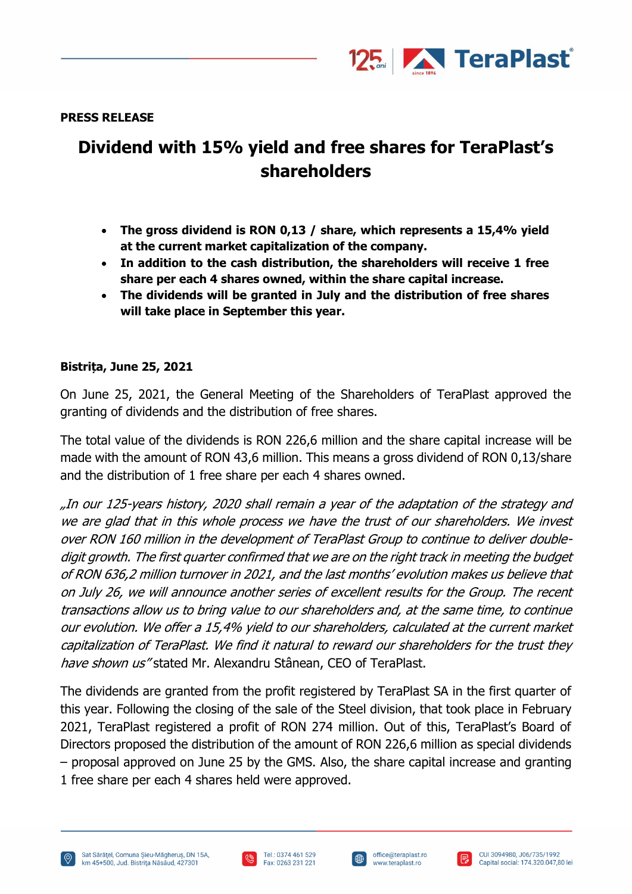

**PRESS RELEASE**

## **Dividend with 15% yield and free shares for TeraPlast's shareholders**

- **The gross dividend is RON 0,13 / share, which represents a 15,4% yield at the current market capitalization of the company.**
- **In addition to the cash distribution, the shareholders will receive 1 free share per each 4 shares owned, within the share capital increase.**
- **The dividends will be granted in July and the distribution of free shares will take place in September this year.**

## **Bistrița, June 25, 2021**

On June 25, 2021, the General Meeting of the Shareholders of TeraPlast approved the granting of dividends and the distribution of free shares.

The total value of the dividends is RON 226,6 million and the share capital increase will be made with the amount of RON 43,6 million. This means a gross dividend of RON 0,13/share and the distribution of 1 free share per each 4 shares owned.

"In our 125-years history, 2020 shall remain a year of the adaptation of the strategy and we are glad that in this whole process we have the trust of our shareholders. We invest over RON 160 million in the development of TeraPlast Group to continue to deliver doubledigit growth. The first quarter confirmed that we are on the right track in meeting the budget of RON 636,2 million turnover in 2021, and the last months' evolution makes us believe that on July 26, we will announce another series of excellent results for the Group. The recent transactions allow us to bring value to our shareholders and, at the same time, to continue our evolution. We offer a 15,4% yield to our shareholders, calculated at the current market capitalization of TeraPlast. We find it natural to reward our shareholders for the trust they have shown us" stated Mr. Alexandru Stânean, CEO of TeraPlast.

The dividends are granted from the profit registered by TeraPlast SA in the first quarter of this year. Following the closing of the sale of the Steel division, that took place in February 2021, TeraPlast registered a profit of RON 274 million. Out of this, TeraPlast's Board of Directors proposed the distribution of the amount of RON 226,6 million as special dividends – proposal approved on June 25 by the GMS. Also, the share capital increase and granting

1 free share per each 4 shares held were approved.